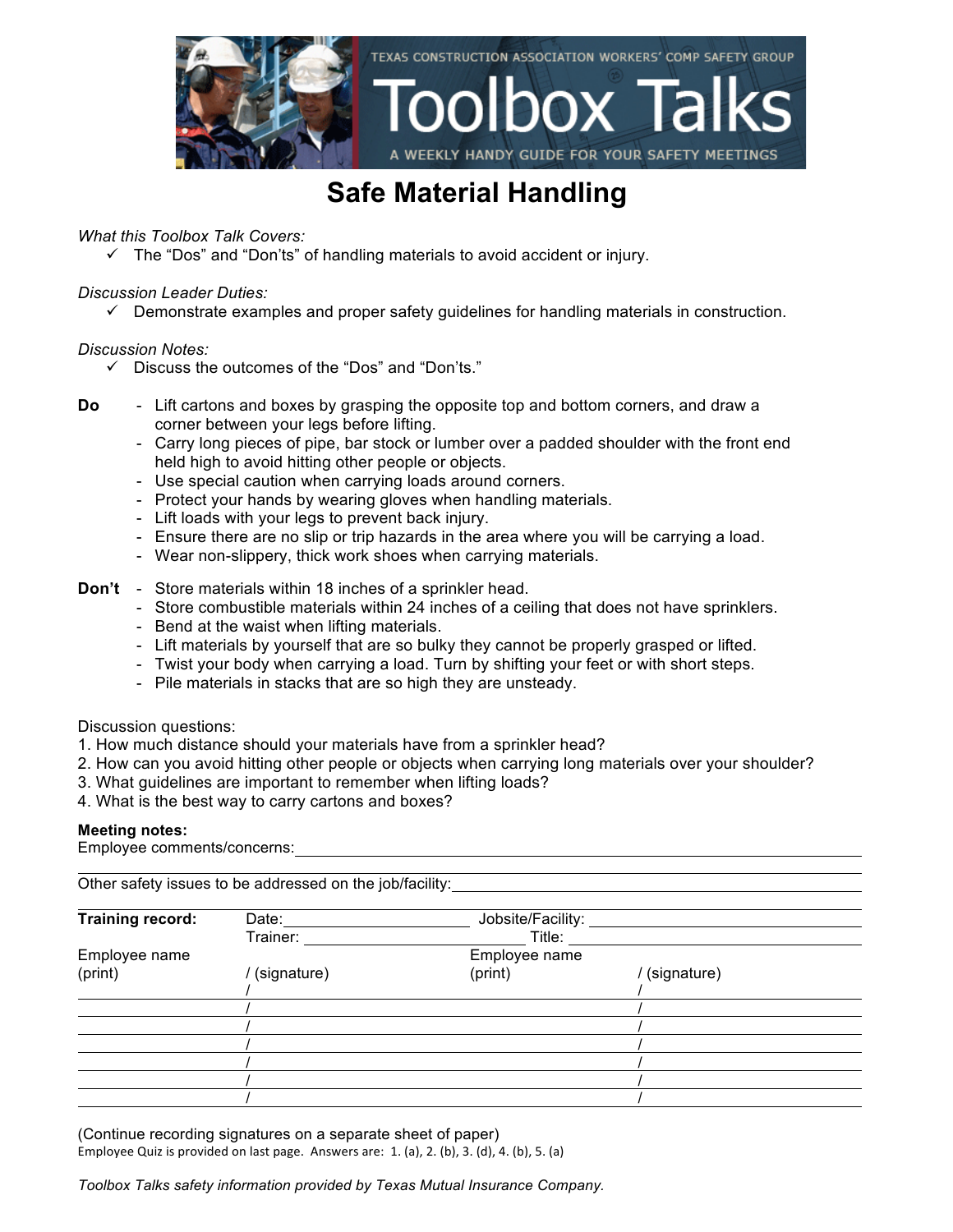

## **Safe Material Handling**

### *What this Toolbox Talk Covers:*

 $\checkmark$  The "Dos" and "Don'ts" of handling materials to avoid accident or injury.

### *Discussion Leader Duties:*

 $\checkmark$  Demonstrate examples and proper safety guidelines for handling materials in construction.

### *Discussion Notes:*

- $\checkmark$  Discuss the outcomes of the "Dos" and "Don'ts."
- **Do** Lift cartons and boxes by grasping the opposite top and bottom corners, and draw a corner between your legs before lifting.
	- Carry long pieces of pipe, bar stock or lumber over a padded shoulder with the front end held high to avoid hitting other people or objects.
	- Use special caution when carrying loads around corners.
	- Protect your hands by wearing gloves when handling materials.
	- Lift loads with your legs to prevent back injury.
	- Ensure there are no slip or trip hazards in the area where you will be carrying a load.
	- Wear non-slippery, thick work shoes when carrying materials.

### **Don't** - Store materials within 18 inches of a sprinkler head.

- Store combustible materials within 24 inches of a ceiling that does not have sprinklers.
- Bend at the waist when lifting materials.
- Lift materials by yourself that are so bulky they cannot be properly grasped or lifted.
- Twist your body when carrying a load. Turn by shifting your feet or with short steps.
- Pile materials in stacks that are so high they are unsteady.

Discussion questions:

- 1. How much distance should your materials have from a sprinkler head?
- 2. How can you avoid hitting other people or objects when carrying long materials over your shoulder?
- 3. What guidelines are important to remember when lifting loads?
- 4. What is the best way to carry cartons and boxes?

#### **Meeting notes:**

Employee comments/concerns:

Other safety issues to be addressed on the job/facility:

| <b>Training record:</b> | Date:       | Jobsite/Facility: |             |  |
|-------------------------|-------------|-------------------|-------------|--|
|                         | Trainer:    | Title:            |             |  |
| Employee name           |             | Employee name     |             |  |
| (print)                 | (signature) | (print)           | (signature) |  |
|                         |             |                   |             |  |
|                         |             |                   |             |  |
|                         |             |                   |             |  |
|                         |             |                   |             |  |
|                         |             |                   |             |  |
|                         |             |                   |             |  |
|                         |             |                   |             |  |

(Continue recording signatures on a separate sheet of paper) Employee Quiz is provided on last page. Answers are:  $1.$  (a),  $2.$  (b),  $3.$  (d),  $4.$  (b),  $5.$  (a)

*Toolbox Talks safety information provided by Texas Mutual Insurance Company.*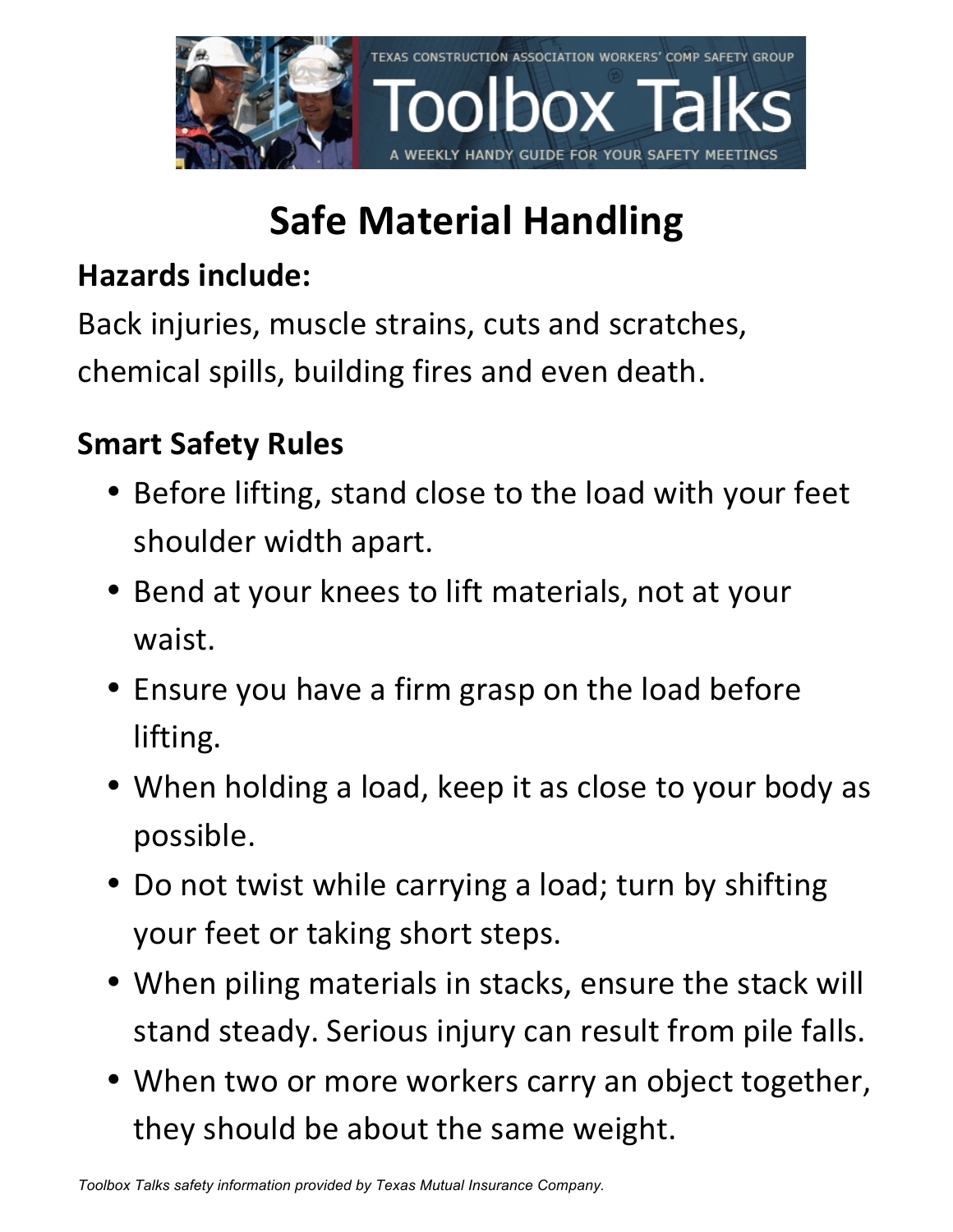

# **Safe Material Handling**

## **Hazards include:**

Back injuries, muscle strains, cuts and scratches, chemical spills, building fires and even death.

## **Smart Safety Rules**

- Before lifting, stand close to the load with your feet shoulder width apart.
- Bend at your knees to lift materials, not at your waist.
- Ensure you have a firm grasp on the load before lifting.
- When holding a load, keep it as close to your body as possible.
- Do not twist while carrying a load; turn by shifting your feet or taking short steps.
- When piling materials in stacks, ensure the stack will stand steady. Serious injury can result from pile falls.
- When two or more workers carry an object together, they should be about the same weight.

*Toolbox Talks safety information provided by Texas Mutual Insurance Company.*